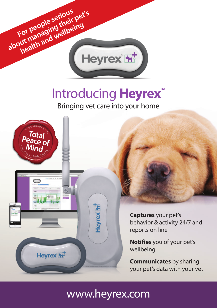

# Introducing **Heyrex**™

Bringing vet care into your home



# www.heyrex.com